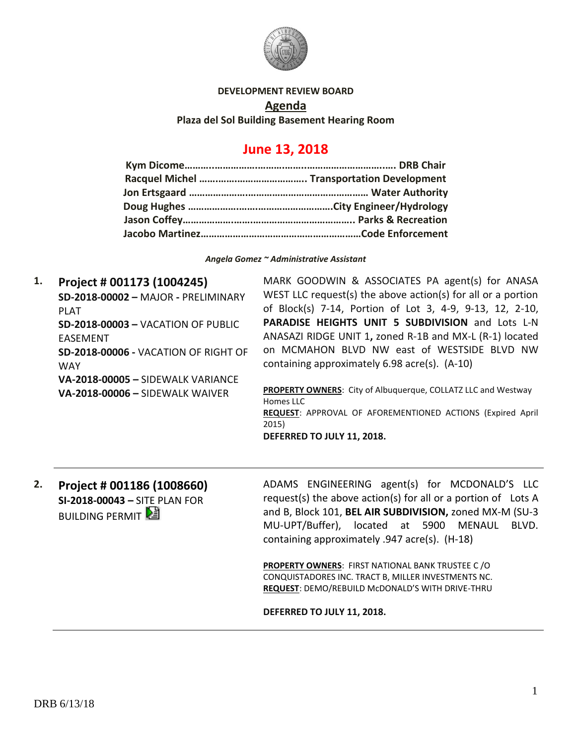

#### **DEVELOPMENT REVIEW BOARD**

**Agenda**

**Plaza del Sol Building Basement Hearing Room**

# **June 13, 2018**

*Angela Gomez ~ Administrative Assistant*

**1. Project # 001173 (1004245) SD-2018-00002 –** MAJOR **-** PRELIMINARY PLAT **SD-2018-00003 –** VACATION OF PUBLIC EASEMENT **SD-2018-00006 -** VACATION OF RIGHT OF WAY **VA-2018-00005 –** SIDEWALK VARIANCE **VA-2018-00006 –** SIDEWALK WAIVER MARK GOODWIN & ASSOCIATES PA agent(s) for ANASA WEST LLC request(s) the above action(s) for all or a portion of Block(s) 7-14, Portion of Lot 3, 4-9, 9-13, 12, 2-10, **PARADISE HEIGHTS UNIT 5 SUBDIVISION** and Lots L-N ANASAZI RIDGE UNIT 1**,** zoned R-1B and MX-L (R-1) located on MCMAHON BLVD NW east of WESTSIDE BLVD NW containing approximately 6.98 acre(s). (A-10) **PROPERTY OWNERS**: City of Albuquerque, COLLATZ LLC and Westway Homes LLC **REQUEST**: APPROVAL OF AFOREMENTIONED ACTIONS (Expired April 2015)

**DEFERRED TO JULY 11, 2018.**

**2. Project # 001186 (1008660) SI-2018-00043 –** SITE PLAN FOR **BUILDING PERMIT** 

ADAMS ENGINEERING agent(s) for MCDONALD'S LLC request(s) the above action(s) for all or a portion of Lots A and B, Block 101, **BEL AIR SUBDIVISION,** zoned MX-M (SU-3 MU-UPT/Buffer), located at 5900 MENAUL BLVD. containing approximately .947 acre(s). (H-18)

**PROPERTY OWNERS**: FIRST NATIONAL BANK TRUSTEE C /O CONQUISTADORES INC. TRACT B, MILLER INVESTMENTS NC. **REQUEST**: DEMO/REBUILD McDONALD'S WITH DRIVE-THRU

**DEFERRED TO JULY 11, 2018.**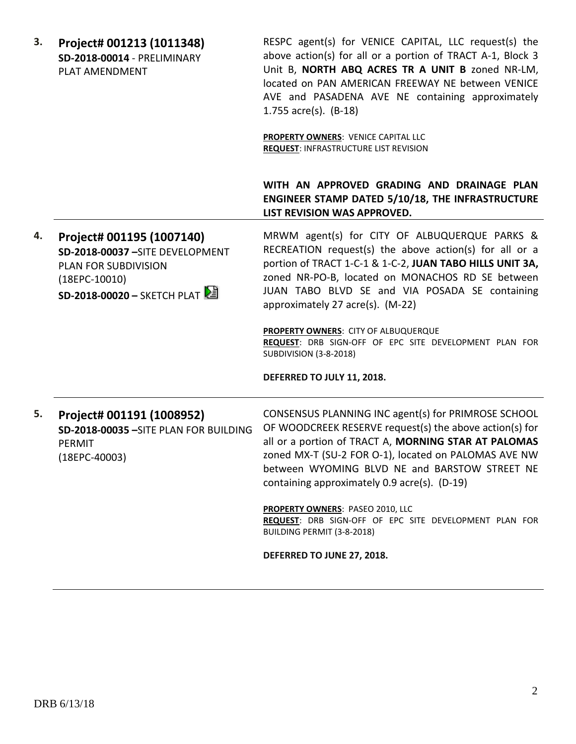| 3. | Project# 001213 (1011348)<br>SD-2018-00014 - PRELIMINARY<br>PLAT AMENDMENT                                                            | RESPC agent(s) for VENICE CAPITAL, LLC request(s) the<br>above action(s) for all or a portion of TRACT A-1, Block 3<br>Unit B, NORTH ABQ ACRES TR A UNIT B zoned NR-LM,<br>located on PAN AMERICAN FREEWAY NE between VENICE<br>AVE and PASADENA AVE NE containing approximately<br>1.755 $\arccos $ . (B-18)<br>PROPERTY OWNERS: VENICE CAPITAL LLC<br><b>REQUEST: INFRASTRUCTURE LIST REVISION</b> |
|----|---------------------------------------------------------------------------------------------------------------------------------------|------------------------------------------------------------------------------------------------------------------------------------------------------------------------------------------------------------------------------------------------------------------------------------------------------------------------------------------------------------------------------------------------------|
|    |                                                                                                                                       | WITH AN APPROVED GRADING AND DRAINAGE PLAN<br>ENGINEER STAMP DATED 5/10/18, THE INFRASTRUCTURE<br>LIST REVISION WAS APPROVED.                                                                                                                                                                                                                                                                        |
| 4. | Project# 001195 (1007140)<br>SD-2018-00037-SITE DEVELOPMENT<br>PLAN FOR SUBDIVISION<br>$(18EPC-10010)$<br>SD-2018-00020 - SKETCH PLAT | MRWM agent(s) for CITY OF ALBUQUERQUE PARKS &<br>RECREATION request(s) the above action(s) for all or a<br>portion of TRACT 1-C-1 & 1-C-2, JUAN TABO HILLS UNIT 3A,<br>zoned NR-PO-B, located on MONACHOS RD SE between<br>JUAN TABO BLVD SE and VIA POSADA SE containing<br>approximately 27 acre(s). (M-22)                                                                                        |
|    |                                                                                                                                       | PROPERTY OWNERS: CITY OF ALBUQUERQUE<br>REQUEST: DRB SIGN-OFF OF EPC SITE DEVELOPMENT PLAN FOR<br><b>SUBDIVISION (3-8-2018)</b>                                                                                                                                                                                                                                                                      |
|    |                                                                                                                                       | DEFERRED TO JULY 11, 2018.                                                                                                                                                                                                                                                                                                                                                                           |
| 5. | Project# 001191 (1008952)<br>SD-2018-00035 - SITE PLAN FOR BUILDING<br>PERMIT<br>$(18EPC-40003)$                                      | CONSENSUS PLANNING INC agent(s) for PRIMROSE SCHOOL<br>OF WOODCREEK RESERVE request(s) the above action(s) for<br>all or a portion of TRACT A, MORNING STAR AT PALOMAS<br>zoned MX-T (SU-2 FOR O-1), located on PALOMAS AVE NW<br>between WYOMING BLVD NE and BARSTOW STREET NE<br>containing approximately 0.9 acre(s). (D-19)                                                                      |
|    |                                                                                                                                       | <b>PROPERTY OWNERS: PASEO 2010, LLC</b><br>REQUEST: DRB SIGN-OFF OF EPC SITE DEVELOPMENT PLAN FOR<br>BUILDING PERMIT (3-8-2018)                                                                                                                                                                                                                                                                      |
|    |                                                                                                                                       | DEFERRED TO JUNE 27, 2018.                                                                                                                                                                                                                                                                                                                                                                           |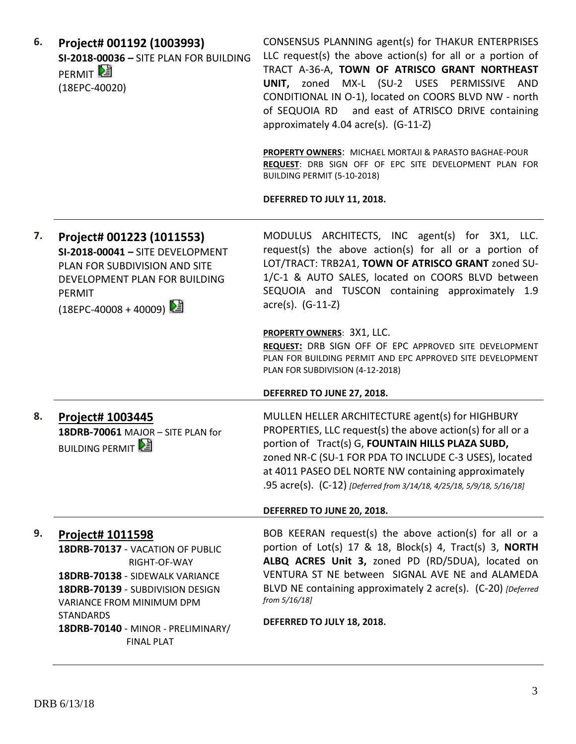| 6. | Project# 001192 (1003993)<br>SI-2018-00036 - SITE PLAN FOR BUILDING<br>PERMIT <sup>L</sup><br>(18EPC-40020)                                                                     | CONSENSUS PLANNING agent(s) for THAKUR ENTERPRISES<br>LLC request(s) the above $action(s)$ for all or a portion of<br>TRACT A-36-A, TOWN OF ATRISCO GRANT NORTHEAST<br>UNIT, zoned MX-L (SU-2 USES PERMISSIVE AND<br>CONDITIONAL IN O-1), located on COORS BLVD NW - north<br>of SEQUOIA RD and east of ATRISCO DRIVE containing<br>approximately 4.04 acre(s). (G-11-Z)<br>PROPERTY OWNERS: MICHAEL MORTAJI & PARASTO BAGHAE-POUR<br>REQUEST: DRB SIGN OFF OF EPC SITE DEVELOPMENT PLAN FOR<br>BUILDING PERMIT (5-10-2018) |
|----|---------------------------------------------------------------------------------------------------------------------------------------------------------------------------------|-----------------------------------------------------------------------------------------------------------------------------------------------------------------------------------------------------------------------------------------------------------------------------------------------------------------------------------------------------------------------------------------------------------------------------------------------------------------------------------------------------------------------------|
|    |                                                                                                                                                                                 | DEFERRED TO JULY 11, 2018.                                                                                                                                                                                                                                                                                                                                                                                                                                                                                                  |
| 7. | Project# 001223 (1011553)<br>SI-2018-00041 - SITE DEVELOPMENT<br>PLAN FOR SUBDIVISION AND SITE<br>DEVELOPMENT PLAN FOR BUILDING<br>PERMIT<br>(18EPC-40008 + 40009) 2            | MODULUS ARCHITECTS, INC agent(s) for 3X1, LLC.<br>request(s) the above action(s) for all or a portion of<br>LOT/TRACT: TRB2A1, TOWN OF ATRISCO GRANT zoned SU-<br>1/C-1 & AUTO SALES, located on COORS BLVD between<br>SEQUOIA and TUSCON containing approximately 1.9<br>acre(s). (G-11-Z)                                                                                                                                                                                                                                 |
|    |                                                                                                                                                                                 | <b>PROPERTY OWNERS: 3X1, LLC.</b><br>REQUEST: DRB SIGN OFF OF EPC APPROVED SITE DEVELOPMENT<br>PLAN FOR BUILDING PERMIT AND EPC APPROVED SITE DEVELOPMENT<br>PLAN FOR SUBDIVISION (4-12-2018)                                                                                                                                                                                                                                                                                                                               |
|    |                                                                                                                                                                                 | DEFERRED TO JUNE 27, 2018.                                                                                                                                                                                                                                                                                                                                                                                                                                                                                                  |
| 8. | <b>Project# 1003445</b><br>18DRB-70061 MAJOR - SITE PLAN for<br><b>BUILDING PERMIT</b>                                                                                          | MULLEN HELLER ARCHITECTURE agent(s) for HIGHBURY<br>PROPERTIES, LLC request(s) the above action(s) for all or a<br>portion of Tract(s) G, FOUNTAIN HILLS PLAZA SUBD,<br>zoned NR-C (SU-1 FOR PDA TO INCLUDE C-3 USES), located<br>at 4011 PASEO DEL NORTE NW containing approximately<br>.95 acre(s). (C-12) [Deferred from 3/14/18, 4/25/18, 5/9/18, 5/16/18]                                                                                                                                                              |
|    |                                                                                                                                                                                 | DEFERRED TO JUNE 20, 2018.                                                                                                                                                                                                                                                                                                                                                                                                                                                                                                  |
| 9. | <b>Project# 1011598</b><br>18DRB-70137 - VACATION OF PUBLIC<br>RIGHT-OF-WAY<br>18DRB-70138 - SIDEWALK VARIANCE<br>18DRB-70139 - SUBDIVISION DESIGN<br>VARIANCE FROM MINIMUM DPM | BOB KEERAN request(s) the above action(s) for all or a<br>portion of Lot(s) 17 & 18, Block(s) 4, Tract(s) 3, NORTH<br>ALBQ ACRES Unit 3, zoned PD (RD/5DUA), located on<br>VENTURA ST NE between SIGNAL AVE NE and ALAMEDA<br>BLVD NE containing approximately 2 acre(s). (C-20) [Deferred<br>from 5/16/18]                                                                                                                                                                                                                 |
|    | <b>STANDARDS</b><br>18DRB-70140 - MINOR - PRELIMINARY/<br><b>FINAL PLAT</b>                                                                                                     | DEFERRED TO JULY 18, 2018.                                                                                                                                                                                                                                                                                                                                                                                                                                                                                                  |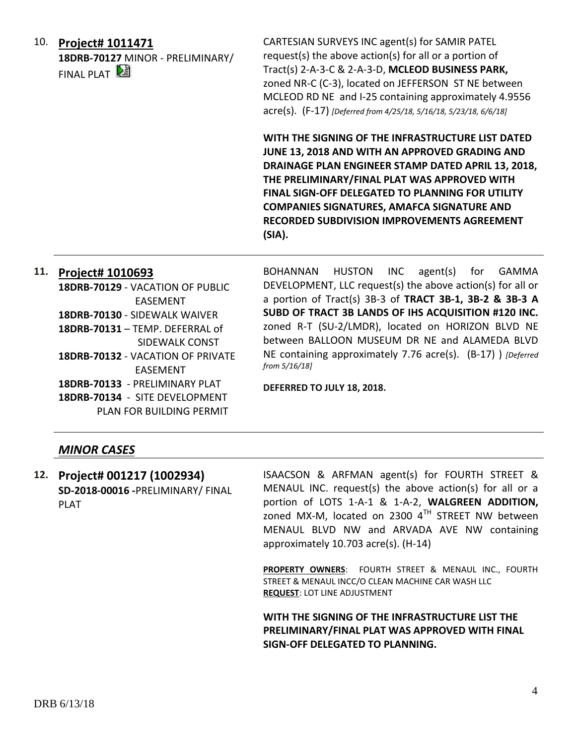10. **Project# 1011471 18DRB-70127** MINOR - PRELIMINARY/ FINAL PLAT  $\mathbb{E}$ 

CARTESIAN SURVEYS INC agent(s) for SAMIR PATEL request(s) the above action(s) for all or a portion of Tract(s) 2-A-3-C & 2-A-3-D, **MCLEOD BUSINESS PARK,** zoned NR-C (C-3), located on JEFFERSON ST NE between MCLEOD RD NE and I-25 containing approximately 4.9556 acre(s). (F-17) *[Deferred from 4/25/18, 5/16/18, 5/23/18, 6/6/18]*

**WITH THE SIGNING OF THE INFRASTRUCTURE LIST DATED JUNE 13, 2018 AND WITH AN APPROVED GRADING AND DRAINAGE PLAN ENGINEER STAMP DATED APRIL 13, 2018, THE PRELIMINARY/FINAL PLAT WAS APPROVED WITH FINAL SIGN-OFF DELEGATED TO PLANNING FOR UTILITY COMPANIES SIGNATURES, AMAFCA SIGNATURE AND RECORDED SUBDIVISION IMPROVEMENTS AGREEMENT (SIA).**

#### **11. Project# 1010693**

**18DRB-70129** - VACATION OF PUBLIC EASEMENT **18DRB-70130** - SIDEWALK WAIVER **18DRB-70131** – TEMP. DEFERRAL of SIDEWALK CONST **18DRB-70132** - VACATION OF PRIVATE EASEMENT **18DRB-70133** - PRELIMINARY PLAT **18DRB-70134** - SITE DEVELOPMENT PLAN FOR BUILDING PERMIT

BOHANNAN HUSTON INC agent(s) for GAMMA DEVELOPMENT, LLC request(s) the above action(s) for all or a portion of Tract(s) 3B-3 of **TRACT 3B-1, 3B-2 & 3B-3 A SUBD OF TRACT 3B LANDS OF IHS ACQUISITION #120 INC.** zoned R-T (SU-2/LMDR), located on HORIZON BLVD NE between BALLOON MUSEUM DR NE and ALAMEDA BLVD NE containing approximately 7.76 acre(s). (B-17) ) *[Deferred from 5/16/18]*

**DEFERRED TO JULY 18, 2018.**

#### *MINOR CASES*

**12. Project# 001217 (1002934) SD-2018-00016 -**PRELIMINARY/ FINAL PLAT

ISAACSON & ARFMAN agent(s) for FOURTH STREET & MENAUL INC. request(s) the above action(s) for all or a portion of LOTS 1-A-1 & 1-A-2, **WALGREEN ADDITION,**  zoned MX-M, located on 2300  $4^{TH}$  STREET NW between MENAUL BLVD NW and ARVADA AVE NW containing approximately 10.703 acre(s). (H-14)

**PROPERTY OWNERS**: FOURTH STREET & MENAUL INC., FOURTH STREET & MENAUL INCC/O CLEAN MACHINE CAR WASH LLC **REQUEST**: LOT LINE ADJUSTMENT

**WITH THE SIGNING OF THE INFRASTRUCTURE LIST THE PRELIMINARY/FINAL PLAT WAS APPROVED WITH FINAL SIGN-OFF DELEGATED TO PLANNING.**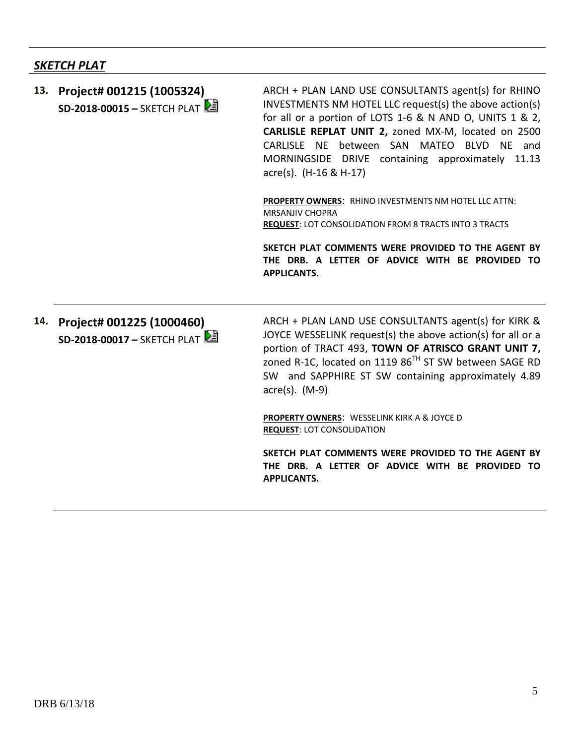## *SKETCH PLAT*

**13. Project# 001215 (1005324) SD-2018-00015 –** SKETCH PLAT ARCH + PLAN LAND USE CONSULTANTS agent(s) for RHINO INVESTMENTS NM HOTEL LLC request(s) the above action(s) for all or a portion of LOTS 1-6 & N AND O, UNITS 1 & 2, **CARLISLE REPLAT UNIT 2,** zoned MX-M, located on 2500 CARLISLE NE between SAN MATEO BLVD NE and MORNINGSIDE DRIVE containing approximately 11.13 acre(s). (H-16 & H-17)

**PROPERTY OWNERS**: RHINO INVESTMENTS NM HOTEL LLC ATTN: MRSANJIV CHOPRA **REQUEST**: LOT CONSOLIDATION FROM 8 TRACTS INTO 3 TRACTS

**SKETCH PLAT COMMENTS WERE PROVIDED TO THE AGENT BY THE DRB. A LETTER OF ADVICE WITH BE PROVIDED TO APPLICANTS.**

**14. Project# 001225 (1000460) SD-2018-00017 –** SKETCH PLAT ARCH + PLAN LAND USE CONSULTANTS agent(s) for KIRK & JOYCE WESSELINK request(s) the above action(s) for all or a portion of TRACT 493, **TOWN OF ATRISCO GRANT UNIT 7,** zoned R-1C, located on 1119 86<sup>TH</sup> ST SW between SAGE RD SW and SAPPHIRE ST SW containing approximately 4.89 acre(s). (M-9)

**PROPERTY OWNERS**: WESSELINK KIRK A & JOYCE D **REQUEST**: LOT CONSOLIDATION

**SKETCH PLAT COMMENTS WERE PROVIDED TO THE AGENT BY THE DRB. A LETTER OF ADVICE WITH BE PROVIDED TO APPLICANTS.**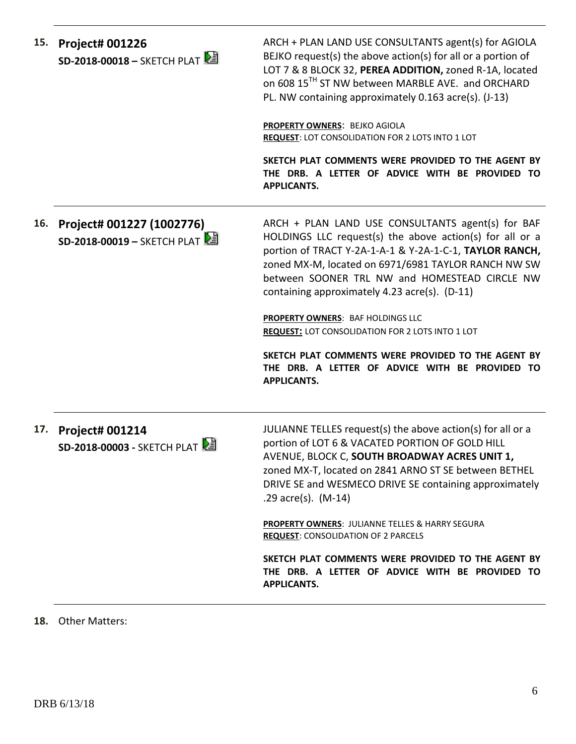| 15. | <b>Project# 001226</b><br>SD-2018-00018 - SKETCH PLAT    | ARCH + PLAN LAND USE CONSULTANTS agent(s) for AGIOLA<br>BEJKO request(s) the above action(s) for all or a portion of<br>LOT 7 & 8 BLOCK 32, PEREA ADDITION, zoned R-1A, located<br>on 608 15 <sup>TH</sup> ST NW between MARBLE AVE. and ORCHARD<br>PL. NW containing approximately 0.163 acre(s). (J-13)<br>PROPERTY OWNERS: BEJKO AGIOLA<br>REQUEST: LOT CONSOLIDATION FOR 2 LOTS INTO 1 LOT<br>SKETCH PLAT COMMENTS WERE PROVIDED TO THE AGENT BY<br>THE DRB. A LETTER OF ADVICE WITH BE PROVIDED TO<br><b>APPLICANTS.</b>                                    |
|-----|----------------------------------------------------------|------------------------------------------------------------------------------------------------------------------------------------------------------------------------------------------------------------------------------------------------------------------------------------------------------------------------------------------------------------------------------------------------------------------------------------------------------------------------------------------------------------------------------------------------------------------|
| 16. | Project# 001227 (1002776)<br>SD-2018-00019 - SKETCH PLAT | ARCH + PLAN LAND USE CONSULTANTS agent(s) for BAF<br>HOLDINGS LLC request(s) the above action(s) for all or a<br>portion of TRACT Y-2A-1-A-1 & Y-2A-1-C-1, TAYLOR RANCH,<br>zoned MX-M, located on 6971/6981 TAYLOR RANCH NW SW<br>between SOONER TRL NW and HOMESTEAD CIRCLE NW<br>containing approximately 4.23 acre(s). (D-11)<br>PROPERTY OWNERS: BAF HOLDINGS LLC<br><b>REQUEST: LOT CONSOLIDATION FOR 2 LOTS INTO 1 LOT</b><br>SKETCH PLAT COMMENTS WERE PROVIDED TO THE AGENT BY<br>THE DRB. A LETTER OF ADVICE WITH BE PROVIDED TO<br><b>APPLICANTS.</b> |
| 17. | <b>Project# 001214</b><br>SD-2018-00003 - SKETCH PLAT    | JULIANNE TELLES request(s) the above action(s) for all or a<br>portion of LOT 6 & VACATED PORTION OF GOLD HILL<br>AVENUE, BLOCK C, SOUTH BROADWAY ACRES UNIT 1,<br>zoned MX-T, located on 2841 ARNO ST SE between BETHEL<br>DRIVE SE and WESMECO DRIVE SE containing approximately<br>.29 $\arccos 0$ . (M-14)<br>PROPERTY OWNERS: JULIANNE TELLES & HARRY SEGURA<br><b>REQUEST: CONSOLIDATION OF 2 PARCELS</b><br>SKETCH PLAT COMMENTS WERE PROVIDED TO THE AGENT BY<br>THE DRB. A LETTER OF ADVICE WITH BE PROVIDED TO<br><b>APPLICANTS.</b>                   |

### **18.** Other Matters: